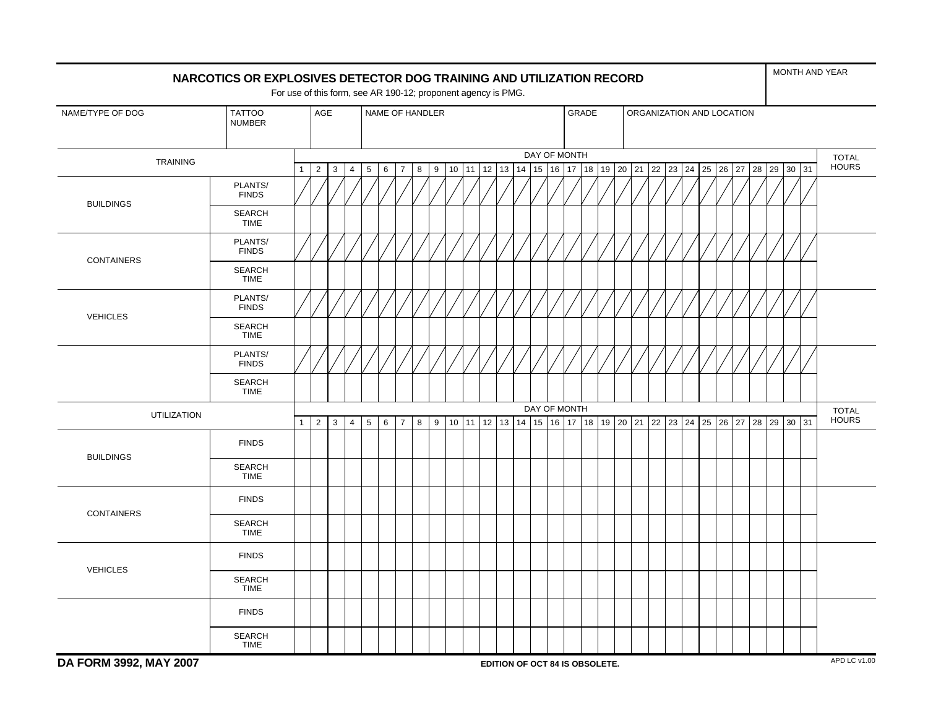|                                                    | NARCOTICS OR EXPLOSIVES DETECTOR DOG TRAINING AND UTILIZATION RECORD | For use of this form, see AR 190-12; proponent agency is PMG. |                |             |                |                 |                                                       |                |   |   |    |       |    |    |  |              |  |  |                                                                |  |  |  |  |       |              |       | MONTH AND YEAR               |
|----------------------------------------------------|----------------------------------------------------------------------|---------------------------------------------------------------|----------------|-------------|----------------|-----------------|-------------------------------------------------------|----------------|---|---|----|-------|----|----|--|--------------|--|--|----------------------------------------------------------------|--|--|--|--|-------|--------------|-------|------------------------------|
| NAME/TYPE OF DOG<br><b>TATTOO</b><br><b>NUMBER</b> |                                                                      |                                                               |                | AGE         |                |                 | NAME OF HANDLER<br>GRADE<br>ORGANIZATION AND LOCATION |                |   |   |    |       |    |    |  |              |  |  |                                                                |  |  |  |  |       |              |       |                              |
| <b>TRAINING</b>                                    |                                                                      |                                                               |                |             |                |                 |                                                       |                |   |   |    |       |    |    |  | DAY OF MONTH |  |  |                                                                |  |  |  |  |       |              |       | <b>TOTAL</b>                 |
|                                                    |                                                                      | $\mathbf{1}$                                                  | $\overline{2}$ | 3           | 4              | $5\phantom{.0}$ | 6                                                     | $\overline{7}$ | 8 | 9 | 10 | 11    | 12 | 13 |  |              |  |  | 14  15  16  17  18  19  20  21  22  23  24  25  26  27         |  |  |  |  |       | $28 \mid 29$ | 30 31 | <b>HOURS</b>                 |
| <b>BUILDINGS</b>                                   | PLANTS/<br><b>FINDS</b>                                              |                                                               |                |             |                |                 |                                                       |                |   |   |    |       |    |    |  |              |  |  |                                                                |  |  |  |  |       |              |       |                              |
|                                                    | <b>SEARCH</b><br><b>TIME</b>                                         |                                                               |                |             |                |                 |                                                       |                |   |   |    |       |    |    |  |              |  |  |                                                                |  |  |  |  |       |              |       |                              |
|                                                    | PLANTS/<br><b>FINDS</b>                                              |                                                               |                |             |                |                 |                                                       |                |   |   |    |       |    |    |  |              |  |  |                                                                |  |  |  |  |       |              |       |                              |
| <b>CONTAINERS</b>                                  | <b>SEARCH</b><br><b>TIME</b>                                         |                                                               |                |             |                |                 |                                                       |                |   |   |    |       |    |    |  |              |  |  |                                                                |  |  |  |  |       |              |       |                              |
|                                                    | PLANTS/<br><b>FINDS</b>                                              |                                                               |                |             |                |                 |                                                       |                |   |   |    |       |    |    |  |              |  |  |                                                                |  |  |  |  |       |              |       |                              |
| <b>VEHICLES</b>                                    | <b>SEARCH</b><br><b>TIME</b>                                         |                                                               |                |             |                |                 |                                                       |                |   |   |    |       |    |    |  |              |  |  |                                                                |  |  |  |  |       |              |       |                              |
|                                                    | PLANTS/<br><b>FINDS</b>                                              |                                                               |                |             |                |                 |                                                       |                |   |   |    |       |    |    |  |              |  |  |                                                                |  |  |  |  |       |              |       |                              |
|                                                    | <b>SEARCH</b><br><b>TIME</b>                                         |                                                               |                |             |                |                 |                                                       |                |   |   |    |       |    |    |  |              |  |  |                                                                |  |  |  |  |       |              |       |                              |
| <b>UTILIZATION</b>                                 |                                                                      | $\mathbf{1}$                                                  | $\overline{2}$ | $\mathsf 3$ | $\overline{4}$ | $\,$ 5 $\,$     | $\,6\,$                                               | $\overline{7}$ | 8 | 9 | 10 | 11 12 |    |    |  | DAY OF MONTH |  |  | 13   14   15   16   17   18   19   20   21   22   23   24   25 |  |  |  |  | 26 27 | 28 29 30 31  |       | <b>TOTAL</b><br><b>HOURS</b> |
|                                                    | <b>FINDS</b>                                                         |                                                               |                |             |                |                 |                                                       |                |   |   |    |       |    |    |  |              |  |  |                                                                |  |  |  |  |       |              |       |                              |
| <b>BUILDINGS</b>                                   | <b>SEARCH</b><br><b>TIME</b>                                         |                                                               |                |             |                |                 |                                                       |                |   |   |    |       |    |    |  |              |  |  |                                                                |  |  |  |  |       |              |       |                              |
|                                                    | <b>FINDS</b>                                                         |                                                               |                |             |                |                 |                                                       |                |   |   |    |       |    |    |  |              |  |  |                                                                |  |  |  |  |       |              |       |                              |
| <b>CONTAINERS</b>                                  | <b>SEARCH</b><br><b>TIME</b>                                         |                                                               |                |             |                |                 |                                                       |                |   |   |    |       |    |    |  |              |  |  |                                                                |  |  |  |  |       |              |       |                              |
|                                                    | <b>FINDS</b>                                                         |                                                               |                |             |                |                 |                                                       |                |   |   |    |       |    |    |  |              |  |  |                                                                |  |  |  |  |       |              |       |                              |
| <b>VEHICLES</b>                                    | <b>SEARCH</b><br><b>TIME</b>                                         |                                                               |                |             |                |                 |                                                       |                |   |   |    |       |    |    |  |              |  |  |                                                                |  |  |  |  |       |              |       |                              |
|                                                    | <b>FINDS</b>                                                         |                                                               |                |             |                |                 |                                                       |                |   |   |    |       |    |    |  |              |  |  |                                                                |  |  |  |  |       |              |       |                              |
|                                                    | <b>SEARCH</b><br><b>TIME</b>                                         |                                                               |                |             |                |                 |                                                       |                |   |   |    |       |    |    |  |              |  |  |                                                                |  |  |  |  |       |              |       |                              |